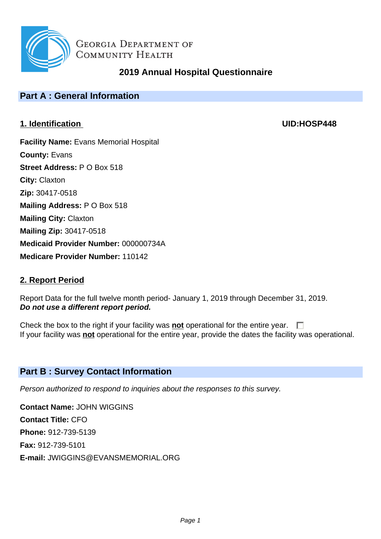

# **2019 Annual Hospital Questionnaire**

# **Part A : General Information**

## **1. Identification UID:HOSP448**

**Facility Name:** Evans Memorial Hospital **County:** Evans **Street Address:** P O Box 518 **City:** Claxton **Zip:** 30417-0518 **Mailing Address:** P O Box 518 **Mailing City:** Claxton **Mailing Zip:** 30417-0518 **Medicaid Provider Number:** 000000734A **Medicare Provider Number:** 110142

## **2. Report Period**

Report Data for the full twelve month period- January 1, 2019 through December 31, 2019. **Do not use a different report period.**

Check the box to the right if your facility was **not** operational for the entire year.  $\Box$ If your facility was **not** operational for the entire year, provide the dates the facility was operational.

## **Part B : Survey Contact Information**

Person authorized to respond to inquiries about the responses to this survey.

**Contact Name:** JOHN WIGGINS **Contact Title:** CFO **Phone:** 912-739-5139 **Fax:** 912-739-5101 **E-mail:** JWIGGINS@EVANSMEMORIAL.ORG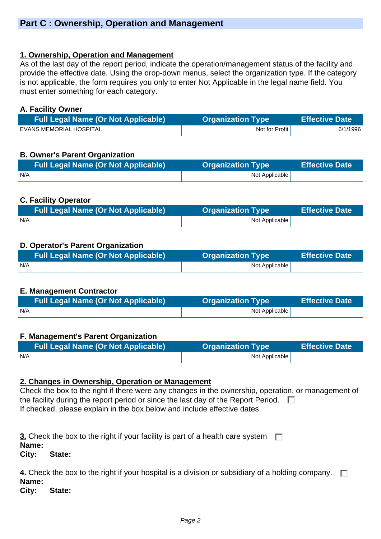#### **1. Ownership, Operation and Management**

As of the last day of the report period, indicate the operation/management status of the facility and provide the effective date. Using the drop-down menus, select the organization type. If the category is not applicable, the form requires you only to enter Not Applicable in the legal name field. You must enter something for each category.

#### **A. Facility Owner**

| <b>Full Legal Name (Or Not Applicable)</b> | <b>Organization Type</b> | <b>Effective Date</b> |
|--------------------------------------------|--------------------------|-----------------------|
| EVANS MEMORIAL HOSPITAL                    | Not for Profit           | 6/1/1996              |

## **B. Owner's Parent Organization**

| <b>Full Legal Name (Or Not Applicable)</b> | <b>Organization Type</b> | <b>Effective Date</b> |
|--------------------------------------------|--------------------------|-----------------------|
| N/A                                        | Not Applicable           |                       |

## **C. Facility Operator**

| Full Legal Name (Or Not Applicable) | <b>Organization Type</b> | <b>Effective Date</b> |
|-------------------------------------|--------------------------|-----------------------|
| N/A                                 | Not Applicable           |                       |

## **D. Operator's Parent Organization**

|     | <b>Organization Type</b> | Effective Date |
|-----|--------------------------|----------------|
| N/A | Not Applicable           |                |

## **E. Management Contractor**

| <b>Full Legal Name (Or Not Applicable)</b> | <b>Organization Type</b> | <b>Effective Date</b> |
|--------------------------------------------|--------------------------|-----------------------|
| IN/A                                       | Not Applicable           |                       |

## **F. Management's Parent Organization**

| <b>Full Legal Name (Or Not Applicable)</b> | <b>Organization Type</b> | <b>Effective Date</b> |
|--------------------------------------------|--------------------------|-----------------------|
| N/A                                        | Not Applicable           |                       |

#### **2. Changes in Ownership, Operation or Management**

Check the box to the right if there were any changes in the ownership, operation, or management of the facility during the report period or since the last day of the Report Period.  $\Box$ If checked, please explain in the box below and include effective dates.

**3.** Check the box to the right if your facility is part of a health care system  $\Box$ **Name:** 

**City: State:** 

**4.** Check the box to the right if your hospital is a division or subsidiary of a holding company.  $\Box$ **Name:** 

**City: State:**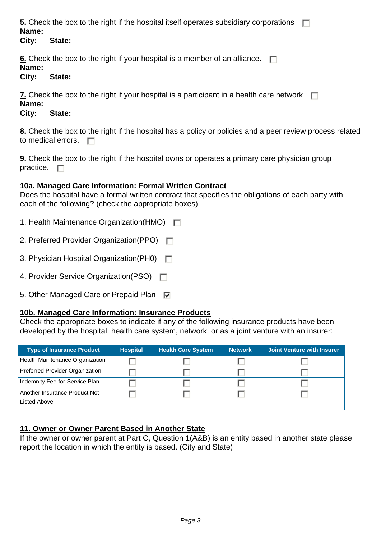**5.** Check the box to the right if the hospital itself operates subsidiary corporations  $\Box$ **Name:** 

#### **City: State:**

**<u>6.</u>** Check the box to the right if your hospital is a member of an alliance.  $\Box$ 

#### **Name:**

#### **City: State:**

**7.** Check the box to the right if your hospital is a participant in a health care network  $\Box$ **Name:** 

## **City: State:**

**8.** Check the box to the right if the hospital has a policy or policies and a peer review process related to medical errors.  $\square$ 

**9.** Check the box to the right if the hospital owns or operates a primary care physician group practice.  $\Box$ 

## **10a. Managed Care Information: Formal Written Contract**

Does the hospital have a formal written contract that specifies the obligations of each party with each of the following? (check the appropriate boxes)

- 1. Health Maintenance Organization(HMO)  $\Box$
- 2. Preferred Provider Organization(PPO)
- 3. Physician Hospital Organization (PH0)
- 4. Provider Service Organization(PSO)
- 5. Other Managed Care or Prepaid Plan  $\nabla$

## **10b. Managed Care Information: Insurance Products**

Check the appropriate boxes to indicate if any of the following insurance products have been developed by the hospital, health care system, network, or as a joint venture with an insurer:

| <b>Type of Insurance Product</b> | <b>Hospital</b> | <b>Health Care System</b> | <b>Network</b> | Joint Venture with Insurer |
|----------------------------------|-----------------|---------------------------|----------------|----------------------------|
| Health Maintenance Organization  |                 |                           |                |                            |
| Preferred Provider Organization  |                 |                           |                |                            |
| Indemnity Fee-for-Service Plan   |                 |                           |                |                            |
| Another Insurance Product Not    |                 |                           |                |                            |
| Listed Above                     |                 |                           |                |                            |

## **11. Owner or Owner Parent Based in Another State**

If the owner or owner parent at Part C, Question 1(A&B) is an entity based in another state please report the location in which the entity is based. (City and State)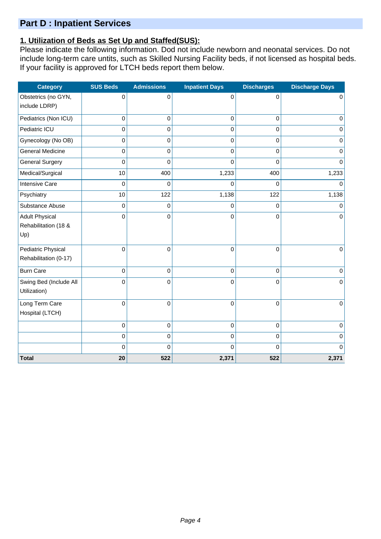## **Part D : Inpatient Services**

## **1. Utilization of Beds as Set Up and Staffed(SUS):**

Please indicate the following information. Dod not include newborn and neonatal services. Do not include long-term care untits, such as Skilled Nursing Facility beds, if not licensed as hospital beds. If your facility is approved for LTCH beds report them below.

| <b>Category</b>         | <b>SUS Beds</b> | <b>Admissions</b> | <b>Inpatient Days</b> | <b>Discharges</b> | <b>Discharge Days</b> |
|-------------------------|-----------------|-------------------|-----------------------|-------------------|-----------------------|
| Obstetrics (no GYN,     | 0               | 0                 | 0                     | $\mathbf 0$       | $\mathbf 0$           |
| include LDRP)           |                 |                   |                       |                   |                       |
| Pediatrics (Non ICU)    | 0               | $\boldsymbol{0}$  | 0                     | $\mathbf 0$       | $\pmb{0}$             |
| Pediatric ICU           | 0               | $\mathbf 0$       | 0                     | $\mathbf 0$       | $\mathbf 0$           |
| Gynecology (No OB)      | 0               | $\mathbf 0$       | $\mathbf 0$           | $\mathbf 0$       | $\mathbf 0$           |
| <b>General Medicine</b> | 0               | $\mathbf 0$       | 0                     | $\mathbf 0$       | $\mathbf 0$           |
| <b>General Surgery</b>  | 0               | 0                 | 0                     | 0                 | $\Omega$              |
| Medical/Surgical        | 10              | 400               | 1,233                 | 400               | 1,233                 |
| <b>Intensive Care</b>   | 0               | 0                 | 0                     | 0                 | $\Omega$              |
| Psychiatry              | 10              | 122               | 1,138                 | 122               | 1,138                 |
| Substance Abuse         | 0               | $\mathbf 0$       | 0                     | $\mathbf 0$       | $\mathbf 0$           |
| <b>Adult Physical</b>   | 0               | $\mathbf 0$       | 0                     | $\mathbf 0$       | $\mathbf 0$           |
| Rehabilitation (18 &    |                 |                   |                       |                   |                       |
| Up)                     |                 |                   |                       |                   |                       |
| Pediatric Physical      | 0               | $\mathbf 0$       | 0                     | $\mathsf 0$       | $\mathbf 0$           |
| Rehabilitation (0-17)   |                 |                   |                       |                   |                       |
| <b>Burn Care</b>        | 0               | 0                 | 0                     | $\mathbf 0$       | $\mathbf 0$           |
| Swing Bed (Include All  | 0               | 0                 | 0                     | 0                 | $\mathbf 0$           |
| Utilization)            |                 |                   |                       |                   |                       |
| Long Term Care          | 0               | $\mathbf 0$       | $\overline{0}$        | $\mathsf 0$       | $\mathbf 0$           |
| Hospital (LTCH)         |                 |                   |                       |                   |                       |
|                         | 0               | $\mathbf 0$       | 0                     | $\mathsf 0$       | $\pmb{0}$             |
|                         | 0               | $\mathbf 0$       | 0                     | 0                 | $\mathbf 0$           |
|                         | 0               | $\mathbf 0$       | 0                     | $\overline{0}$    | $\Omega$              |
| <b>Total</b>            | 20              | 522               | 2,371                 | 522               | 2,371                 |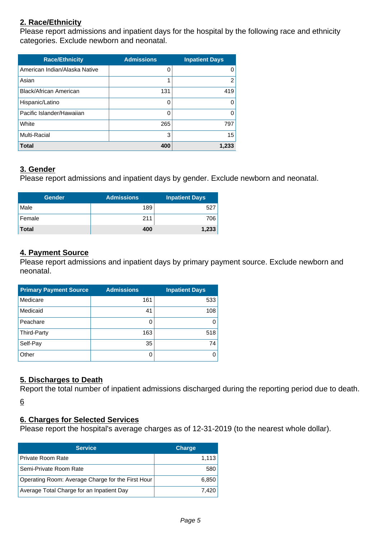## **2. Race/Ethnicity**

Please report admissions and inpatient days for the hospital by the following race and ethnicity categories. Exclude newborn and neonatal.

| <b>Race/Ethnicity</b>         | <b>Admissions</b> | <b>Inpatient Days</b> |
|-------------------------------|-------------------|-----------------------|
| American Indian/Alaska Native | 0                 | 0                     |
| Asian                         |                   | $\overline{2}$        |
| Black/African American        | 131               | 419                   |
| Hispanic/Latino               | 0                 | 0                     |
| Pacific Islander/Hawaiian     | 0                 | $\Omega$              |
| White                         | 265               | 797                   |
| Multi-Racial                  | 3                 | 15                    |
| <b>Total</b>                  | 400               | 1,233                 |

#### **3. Gender**

Please report admissions and inpatient days by gender. Exclude newborn and neonatal.

| <b>Gender</b> | <b>Admissions</b> | <b>Inpatient Days</b> |
|---------------|-------------------|-----------------------|
| Male          | 189               | 527                   |
| Female        | 211               | 706                   |
| <b>Total</b>  | 400               | 1,233                 |

#### **4. Payment Source**

Please report admissions and inpatient days by primary payment source. Exclude newborn and neonatal.

| <b>Primary Payment Source</b> | <b>Admissions</b> | <b>Inpatient Days</b> |
|-------------------------------|-------------------|-----------------------|
| Medicare                      | 161               | 533                   |
| Medicaid                      | 41                | 108                   |
| Peachare                      |                   |                       |
| Third-Party                   | 163               | 518                   |
| Self-Pay                      | 35                | 74                    |
| Other                         |                   |                       |

## **5. Discharges to Death**

Report the total number of inpatient admissions discharged during the reporting period due to death. 6

#### **6. Charges for Selected Services**

Please report the hospital's average charges as of 12-31-2019 (to the nearest whole dollar).

| <b>Service</b>                                    | <b>Charge</b> |
|---------------------------------------------------|---------------|
| Private Room Rate                                 | 1.113         |
| Semi-Private Room Rate                            | 580           |
| Operating Room: Average Charge for the First Hour | 6.850         |
| Average Total Charge for an Inpatient Day         | 7.420         |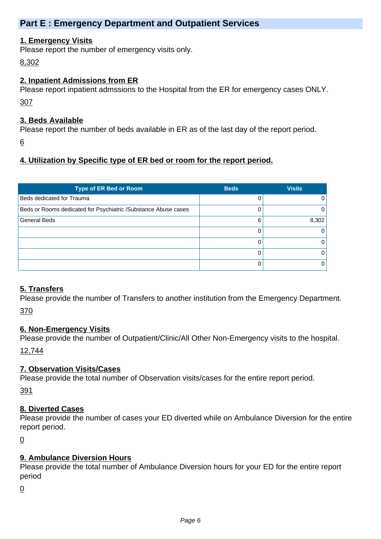## **Part E : Emergency Department and Outpatient Services**

#### **1. Emergency Visits**

Please report the number of emergency visits only.

8,302

#### **2. Inpatient Admissions from ER**

Please report inpatient admssions to the Hospital from the ER for emergency cases ONLY. 307

#### **3. Beds Available**

Please report the number of beds available in ER as of the last day of the report period.

6

## **4. Utilization by Specific type of ER bed or room for the report period.**

| <b>Type of ER Bed or Room</b>                                  | <b>Beds</b> | <b>Visits</b> |
|----------------------------------------------------------------|-------------|---------------|
| Beds dedicated for Trauma                                      |             | 0             |
| Beds or Rooms dedicated for Psychiatric /Substance Abuse cases |             | 0             |
| <b>General Beds</b>                                            | 6           | 8,302         |
|                                                                |             | 0             |
|                                                                |             | 0             |
|                                                                |             | 0             |
|                                                                |             |               |

## **5. Transfers**

Please provide the number of Transfers to another institution from the Emergency Department. 370

## **6. Non-Emergency Visits**

Please provide the number of Outpatient/Clinic/All Other Non-Emergency visits to the hospital.

12,744

## **7. Observation Visits/Cases**

Please provide the total number of Observation visits/cases for the entire report period.

391

## **8. Diverted Cases**

Please provide the number of cases your ED diverted while on Ambulance Diversion for the entire report period.

0

## **9. Ambulance Diversion Hours**

Please provide the total number of Ambulance Diversion hours for your ED for the entire report period

0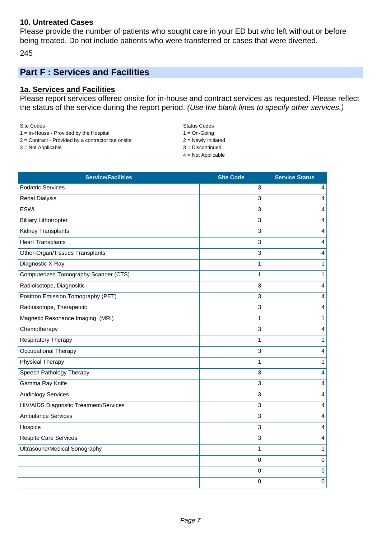#### **10. Untreated Cases**

Please provide the number of patients who sought care in your ED but who left without or before being treated. Do not include patients who were transferred or cases that were diverted.

245

# **Part F : Services and Facilities**

#### **1a. Services and Facilities**

Please report services offered onsite for in-house and contract services as requested. Please reflect the status of the service during the report period. (Use the blank lines to specify other services.)

| Site Codes                                  |  |
|---------------------------------------------|--|
| $1 = \ln$ -House - Provided by the Hospital |  |

- $2 =$  Contract Provided by a contractor but onsite  $2 =$  Newly Initiated
- $3 = Not Applied$
- Status Codes  $1 = On-Goinq$

4 = Not Applicable

| <b>Service/Facilities</b>              | <b>Site Code</b> | <b>Service Status</b> |
|----------------------------------------|------------------|-----------------------|
| <b>Podatric Services</b>               | 3                | 4                     |
| <b>Renal Dialysis</b>                  | 3                | 4                     |
| <b>ESWL</b>                            | 3                | 4                     |
| <b>Billiary Lithotropter</b>           | 3                | 4                     |
| Kidney Transplants                     | 3                | 4                     |
| <b>Heart Transplants</b>               | 3                | 4                     |
| Other-Organ/Tissues Transplants        | 3                | 4                     |
| Diagnostic X-Ray                       | 1                | $\mathbf{1}$          |
| Computerized Tomography Scanner (CTS)  | 1                | 1                     |
| Radioisotope, Diagnositic              | 3                | 4                     |
| Positron Emission Tomography (PET)     | 3                | 4                     |
| Radioisotope, Therapeutic              | 3                | 4                     |
| Magnetic Resonance Imaging (MRI)       | 1                | 1                     |
| Chemotherapy                           | 3                | 4                     |
| <b>Respiratory Therapy</b>             | 1                | 1                     |
| Occupational Therapy                   | 3                | 4                     |
| <b>Physical Therapy</b>                | 1                | 1                     |
| Speech Pathology Therapy               | 3                | 4                     |
| Gamma Ray Knife                        | 3                | 4                     |
| <b>Audiology Services</b>              | 3                | 4                     |
| HIV/AIDS Diagnostic Treatment/Services | 3                | 4                     |
| <b>Ambulance Services</b>              | 3                | 4                     |
| Hospice                                | 3                | 4                     |
| <b>Respite Care Services</b>           | 3                | 4                     |
| Ultrasound/Medical Sonography          | 1                | 1                     |
|                                        | $\mathbf 0$      | 0                     |
|                                        | 0                | 0                     |
|                                        | 0                | $\pmb{0}$             |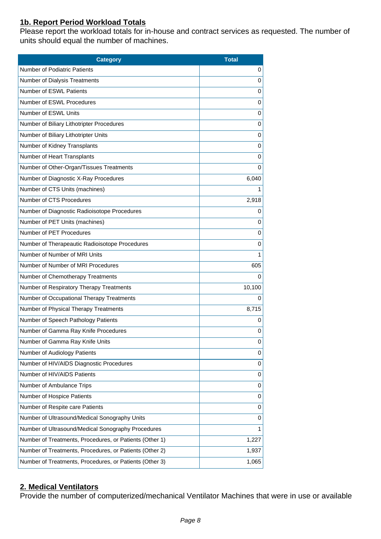## **1b. Report Period Workload Totals**

Please report the workload totals for in-house and contract services as requested. The number of units should equal the number of machines.

| <b>Category</b>                                         | <b>Total</b> |
|---------------------------------------------------------|--------------|
| <b>Number of Podiatric Patients</b>                     | 0            |
| Number of Dialysis Treatments                           | 0            |
| Number of ESWL Patients                                 | 0            |
| Number of ESWL Procedures                               | 0            |
| Number of ESWL Units                                    | 0            |
| Number of Biliary Lithotripter Procedures               | 0            |
| Number of Biliary Lithotripter Units                    | 0            |
| Number of Kidney Transplants                            | 0            |
| Number of Heart Transplants                             | 0            |
| Number of Other-Organ/Tissues Treatments                | $\mathbf 0$  |
| Number of Diagnostic X-Ray Procedures                   | 6,040        |
| Number of CTS Units (machines)                          | 1            |
| Number of CTS Procedures                                | 2,918        |
| Number of Diagnostic Radioisotope Procedures            | 0            |
| Number of PET Units (machines)                          | 0            |
| Number of PET Procedures                                | 0            |
| Number of Therapeautic Radioisotope Procedures          | 0            |
| Number of Number of MRI Units                           | 1            |
| Number of Number of MRI Procedures                      | 605          |
| Number of Chemotherapy Treatments                       | $\mathbf 0$  |
| Number of Respiratory Therapy Treatments                | 10,100       |
| Number of Occupational Therapy Treatments               | 0            |
| Number of Physical Therapy Treatments                   | 8,715        |
| Number of Speech Pathology Patients                     | 0            |
| Number of Gamma Ray Knife Procedures                    | 0            |
| Number of Gamma Ray Knife Units                         | 0            |
| Number of Audiology Patients                            | 0            |
| Number of HIV/AIDS Diagnostic Procedures                | 0            |
| Number of HIV/AIDS Patients                             | 0            |
| Number of Ambulance Trips                               | 0            |
| Number of Hospice Patients                              | $\pmb{0}$    |
| Number of Respite care Patients                         | 0            |
| Number of Ultrasound/Medical Sonography Units           | 0            |
| Number of Ultrasound/Medical Sonography Procedures      | 1            |
| Number of Treatments, Procedures, or Patients (Other 1) | 1,227        |
| Number of Treatments, Procedures, or Patients (Other 2) | 1,937        |
| Number of Treatments, Procedures, or Patients (Other 3) | 1,065        |

## **2. Medical Ventilators**

Provide the number of computerized/mechanical Ventilator Machines that were in use or available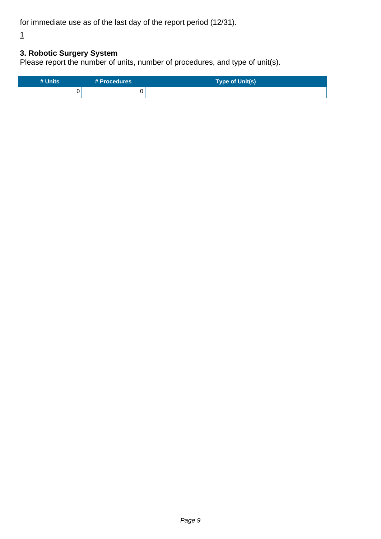for immediate use as of the last day of the report period (12/31).

1

## **3. Robotic Surgery System**

Please report the number of units, number of procedures, and type of unit(s).

| # Units | # Procedures | Type of Unit(s) |
|---------|--------------|-----------------|
|         |              |                 |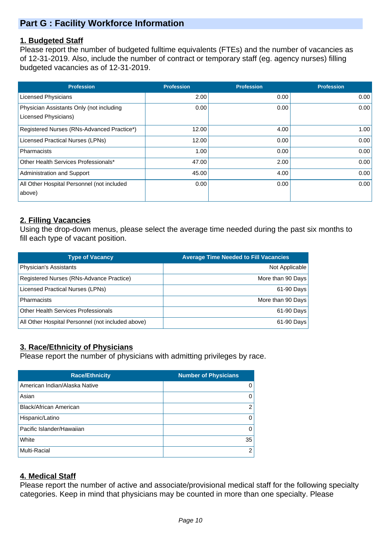# **Part G : Facility Workforce Information**

#### **1. Budgeted Staff**

Please report the number of budgeted fulltime equivalents (FTEs) and the number of vacancies as of 12-31-2019. Also, include the number of contract or temporary staff (eg. agency nurses) filling budgeted vacancies as of 12-31-2019.

| <b>Profession</b>                          | <b>Profession</b> | <b>Profession</b> | <b>Profession</b> |
|--------------------------------------------|-------------------|-------------------|-------------------|
| <b>Licensed Physicians</b>                 | 2.00              | 0.00              | 0.00              |
| Physician Assistants Only (not including   | 0.00              | 0.00              | 0.00              |
| Licensed Physicians)                       |                   |                   |                   |
| Registered Nurses (RNs-Advanced Practice*) | 12.00             | 4.00              | 1.00              |
| Licensed Practical Nurses (LPNs)           | 12.00             | 0.00              | 0.00              |
| Pharmacists                                | 1.00              | 0.00              | 0.00              |
| Other Health Services Professionals*       | 47.00             | 2.00              | 0.00              |
| Administration and Support                 | 45.00             | 4.00              | 0.00              |
| All Other Hospital Personnel (not included | 0.00              | 0.00              | 0.00              |
| above)                                     |                   |                   |                   |

## **2. Filling Vacancies**

Using the drop-down menus, please select the average time needed during the past six months to fill each type of vacant position.

| <b>Type of Vacancy</b>                            | <b>Average Time Needed to Fill Vacancies</b> |
|---------------------------------------------------|----------------------------------------------|
| Physician's Assistants                            | Not Applicable                               |
| Registered Nurses (RNs-Advance Practice)          | More than 90 Days                            |
| Licensed Practical Nurses (LPNs)                  | 61-90 Days                                   |
| <b>Pharmacists</b>                                | More than 90 Days                            |
| <b>Other Health Services Professionals</b>        | 61-90 Days                                   |
| All Other Hospital Personnel (not included above) | 61-90 Days                                   |

## **3. Race/Ethnicity of Physicians**

Please report the number of physicians with admitting privileges by race.

| <b>Race/Ethnicity</b>         | <b>Number of Physicians</b> |
|-------------------------------|-----------------------------|
| American Indian/Alaska Native | 0                           |
| Asian                         | 0                           |
| Black/African American        | $\overline{2}$              |
| Hispanic/Latino               | 0                           |
| Pacific Islander/Hawaiian     | 0                           |
| White                         | 35                          |
| <b>Multi-Racial</b>           | 2                           |

## **4. Medical Staff**

Please report the number of active and associate/provisional medical staff for the following specialty categories. Keep in mind that physicians may be counted in more than one specialty. Please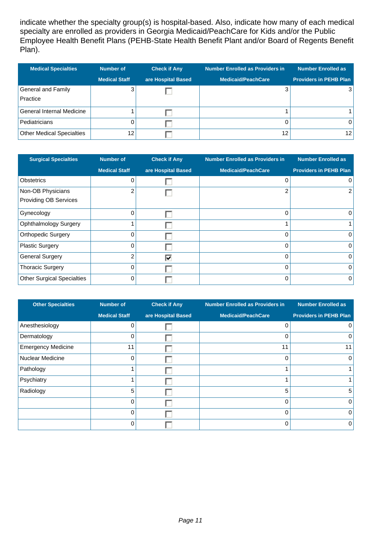indicate whether the specialty group(s) is hospital-based. Also, indicate how many of each medical specialty are enrolled as providers in Georgia Medicaid/PeachCare for Kids and/or the Public Employee Health Benefit Plans (PEHB-State Health Benefit Plant and/or Board of Regents Benefit Plan).

| <b>Medical Specialties</b>       | <b>Number of</b>     | <b>Check if Any</b> | <b>Number Enrolled as Providers in</b> | Number Enrolled as            |
|----------------------------------|----------------------|---------------------|----------------------------------------|-------------------------------|
|                                  | <b>Medical Staff</b> | are Hospital Based  | <b>Medicaid/PeachCare</b>              | <b>Providers in PEHB Plan</b> |
| General and Family               |                      |                     | 3                                      |                               |
| Practice                         |                      |                     |                                        |                               |
| General Internal Medicine        |                      |                     |                                        |                               |
| Pediatricians                    |                      |                     |                                        | 0                             |
| <b>Other Medical Specialties</b> | 12                   |                     | 12                                     | 12                            |

| <b>Surgical Specialties</b>       | <b>Number of</b>     | <b>Check if Any</b> | <b>Number Enrolled as Providers in</b> | <b>Number Enrolled as</b>     |
|-----------------------------------|----------------------|---------------------|----------------------------------------|-------------------------------|
|                                   | <b>Medical Staff</b> | are Hospital Based  | <b>Medicaid/PeachCare</b>              | <b>Providers in PEHB Plan</b> |
| <b>Obstetrics</b>                 | 0                    |                     | 0                                      | $\overline{0}$                |
| Non-OB Physicians                 | $\overline{2}$       |                     | 2                                      | $\overline{2}$                |
| <b>Providing OB Services</b>      |                      |                     |                                        |                               |
| Gynecology                        | 0                    |                     | 0                                      | $\overline{0}$                |
| <b>Ophthalmology Surgery</b>      |                      |                     |                                        |                               |
| <b>Orthopedic Surgery</b>         | 0                    |                     | $\Omega$                               | $\overline{0}$                |
| <b>Plastic Surgery</b>            | 0                    |                     | $\Omega$                               | $\overline{0}$                |
| <b>General Surgery</b>            | $\overline{2}$       | ⊽                   | $\Omega$                               | $\overline{0}$                |
| <b>Thoracic Surgery</b>           | $\Omega$             |                     | $\Omega$                               | $\overline{0}$                |
| <b>Other Surgical Specialties</b> | $\Omega$             |                     | 0                                      | $\overline{0}$                |

| <b>Other Specialties</b>  | <b>Number of</b>     | <b>Check if Any</b> | <b>Number Enrolled as Providers in</b> | <b>Number Enrolled as</b>     |
|---------------------------|----------------------|---------------------|----------------------------------------|-------------------------------|
|                           | <b>Medical Staff</b> | are Hospital Based  | <b>Medicaid/PeachCare</b>              | <b>Providers in PEHB Plan</b> |
| Anesthesiology            | 0                    |                     | 0                                      | $\Omega$                      |
| Dermatology               | ი                    |                     | $\Omega$                               | 0                             |
| <b>Emergency Medicine</b> | 11                   |                     | 11                                     | 11                            |
| Nuclear Medicine          | 0                    |                     | $\Omega$                               | 0                             |
| Pathology                 |                      |                     |                                        |                               |
| Psychiatry                |                      |                     |                                        |                               |
| Radiology                 | 5                    |                     | 5                                      | 5                             |
|                           | 0                    |                     | 0                                      | $\mathbf 0$                   |
|                           | U                    |                     | 0                                      | $\Omega$                      |
|                           | O                    |                     | $\Omega$                               | $\Omega$                      |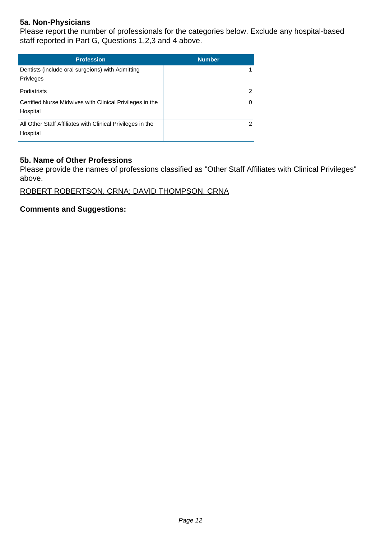## **5a. Non-Physicians**

Please report the number of professionals for the categories below. Exclude any hospital-based staff reported in Part G, Questions 1,2,3 and 4 above.

| <b>Profession</b>                                                      | <b>Number</b> |
|------------------------------------------------------------------------|---------------|
| Dentists (include oral surgeions) with Admitting<br>Privleges          |               |
| <b>Podiatrists</b>                                                     | 2             |
| Certified Nurse Midwives with Clinical Privileges in the<br>Hospital   | $\Omega$      |
| All Other Staff Affiliates with Clinical Privileges in the<br>Hospital | 2             |

#### **5b. Name of Other Professions**

Please provide the names of professions classified as "Other Staff Affiliates with Clinical Privileges" above.

ROBERT ROBERTSON, CRNA; DAVID THOMPSON, CRNA

**Comments and Suggestions:**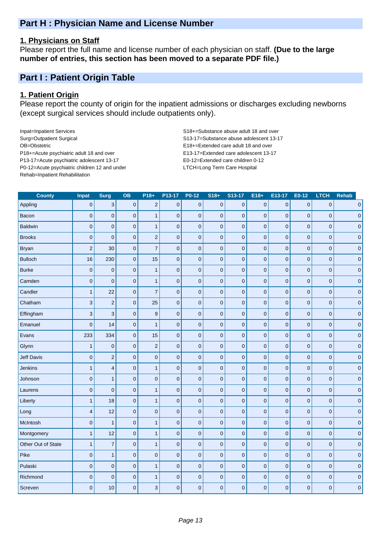## **Part H : Physician Name and License Number**

#### **1. Physicians on Staff**

Please report the full name and license number of each physician on staff. **(Due to the large number of entries, this section has been moved to a separate PDF file.)**

## **Part I : Patient Origin Table**

#### **1. Patient Origin**

Please report the county of origin for the inpatient admissions or discharges excluding newborns (except surgical services should include outpatients only).

Inpat=Inpatient Services S18+=Substance abuse adult 18 and over Surg=Outpatient Surgical S13-17=Substance abuse adolescent 13-17 OB=Obstetric E18+=Extended care adult 18 and over P18+=Acute psychiatric adult 18 and over E13-17=Extended care adolescent 13-17 P13-17=Acute psychiatric adolescent 13-17 E0-12=Extended care children 0-12 P0-12=Acute psychiatric children 12 and under LTCH=Long Term Care Hospital Rehab=Inpatient Rehabilitation

| <b>County</b>      | <b>Inpat</b>            | <b>Surg</b>             | <b>OB</b>           | $P18+$                   | P13-17      | P0-12       | $S18+$              | S13-17         | $E18+$         | E13-17         | E0-12               | <b>LTCH</b>    | <b>Rehab</b>    |
|--------------------|-------------------------|-------------------------|---------------------|--------------------------|-------------|-------------|---------------------|----------------|----------------|----------------|---------------------|----------------|-----------------|
| Appling            | $\mathbf 0$             | $\sqrt{3}$              | $\mathsf 0$         | $\mathbf 2$              | $\pmb{0}$   | $\pmb{0}$   | $\mathsf 0$         | $\mathbf 0$    | $\pmb{0}$      | $\pmb{0}$      | $\pmb{0}$           | $\pmb{0}$      | $\overline{0}$  |
| Bacon              | $\mathbf 0$             | $\mathbf 0$             | $\mathbf 0$         | $\mathbf{1}$             | $\pmb{0}$   | $\mathbf 0$ | $\mathbf 0$         | $\mathbf 0$    | $\mathbf 0$    | $\mathbf 0$    | $\pmb{0}$           | $\overline{0}$ | $\pmb{0}$       |
| <b>Baldwin</b>     | $\mathbf 0$             | $\mathbf 0$             | $\pmb{0}$           | $\mathbf{1}$             | $\pmb{0}$   | $\pmb{0}$   | $\mathbf 0$         | $\pmb{0}$      | $\mathbf 0$    | $\mathbf 0$    | $\mathbf 0$         | $\mathbf 0$    | $\mathbf 0$     |
| <b>Brooks</b>      | $\overline{0}$          | $\mathbf 0$             | $\mathbf 0$         | $\overline{a}$           | $\mathbf 0$ | $\mathbf 0$ | $\mathbf 0$         | $\overline{0}$ | $\overline{0}$ | $\mathbf 0$    | $\mathbf 0$         | $\overline{0}$ | $\pmb{0}$       |
| <b>Bryan</b>       | $\mathbf 2$             | 30                      | $\mathsf{O}\xspace$ | $\overline{\mathcal{I}}$ | $\pmb{0}$   | $\mathbf 0$ | $\pmb{0}$           | $\pmb{0}$      | $\pmb{0}$      | $\pmb{0}$      | $\pmb{0}$           | $\mathbf 0$    | $\pmb{0}$       |
| <b>Bulloch</b>     | 16                      | 230                     | $\pmb{0}$           | 15                       | $\pmb{0}$   | $\mathbf 0$ | $\pmb{0}$           | $\mathbf 0$    | $\mathbf 0$    | $\pmb{0}$      | $\pmb{0}$           | $\mathbf 0$    | $\pmb{0}$       |
| <b>Burke</b>       | $\mathbf 0$             | $\pmb{0}$               | $\mathsf{O}\xspace$ | $\mathbf{1}$             | $\pmb{0}$   | $\mathbf 0$ | $\mathsf{O}\xspace$ | $\mathbf 0$    | $\overline{0}$ | $\pmb{0}$      | $\mathbf 0$         | $\overline{0}$ | $\pmb{0}$       |
| Camden             | $\mathbf 0$             | $\mathbf 0$             | $\mathbf 0$         | $\mathbf{1}$             | $\mathbf 0$ | $\pmb{0}$   | $\mathbf 0$         | $\mathbf 0$    | $\mathbf 0$    | $\pmb{0}$      | $\overline{0}$      | $\mathbf 0$    | $\mathbf 0$     |
| Candler            | $\mathbf{1}$            | 22                      | $\mathbf 0$         | $\overline{7}$           | $\mathbf 0$ | $\pmb{0}$   | $\mathbf 0$         | $\mathbf 0$    | $\overline{0}$ | $\overline{0}$ | $\mathbf 0$         | $\overline{0}$ | $\pmb{0}$       |
| Chatham            | $\mathbf{3}$            | $\overline{c}$          | $\mathsf{O}\xspace$ | 25                       | $\pmb{0}$   | $\mathbf 0$ | $\mathsf 0$         | $\pmb{0}$      | $\overline{0}$ | $\pmb{0}$      | $\mathbf 0$         | $\mathbf 0$    | $\pmb{0}$       |
| Effingham          | $\mathbf{3}$            | 3                       | $\pmb{0}$           | $\boldsymbol{9}$         | $\pmb{0}$   | $\mathbf 0$ | $\mathsf{O}\xspace$ | $\mathbf 0$    | $\overline{0}$ | $\pmb{0}$      | $\pmb{0}$           | $\mathbf 0$    | 0               |
| Emanuel            | $\overline{0}$          | 14                      | $\pmb{0}$           | $\overline{1}$           | $\mathbf 0$ | $\pmb{0}$   | $\pmb{0}$           | $\pmb{0}$      | $\overline{0}$ | $\pmb{0}$      | $\mathbf 0$         | $\overline{0}$ | $\pmb{0}$       |
| Evans              | 233                     | 334                     | $\mathsf{O}\xspace$ | 15                       | $\mathbf 0$ | $\mathbf 0$ | $\pmb{0}$           | $\pmb{0}$      | $\overline{0}$ | $\pmb{0}$      | $\mathbf 0$         | $\overline{0}$ | $\pmb{0}$       |
| Glynn              | $\mathbf{1}$            | $\pmb{0}$               | $\mathsf{O}\xspace$ | $\overline{c}$           | $\pmb{0}$   | $\mathbf 0$ | $\mathsf{O}\xspace$ | $\mathbf 0$    | $\overline{0}$ | $\mathbf 0$    | $\pmb{0}$           | $\mathbf 0$    | $\pmb{0}$       |
| Jeff Davis         | $\mathbf 0$             | $\overline{c}$          | $\mathsf{O}\xspace$ | $\mathsf{O}\xspace$      | $\pmb{0}$   | $\mathbf 0$ | $\mathsf{O}\xspace$ | $\pmb{0}$      | $\pmb{0}$      | $\pmb{0}$      | $\pmb{0}$           | $\mathbf 0$    | $\pmb{0}$       |
| Jenkins            | $\overline{1}$          | $\overline{\mathbf{4}}$ | $\pmb{0}$           | $\mathbf{1}$             | $\mathbf 0$ | $\pmb{0}$   | $\pmb{0}$           | $\pmb{0}$      | $\overline{0}$ | $\mathbf 0$    | $\pmb{0}$           | $\mathbf 0$    | $\pmb{0}$       |
| Johnson            | $\mathbf 0$             | $\mathbf{1}$            | $\pmb{0}$           | $\pmb{0}$                | $\mathbf 0$ | $\pmb{0}$   | $\pmb{0}$           | $\pmb{0}$      | $\overline{0}$ | $\pmb{0}$      | $\mathbf 0$         | $\overline{0}$ | $\vert 0 \vert$ |
| Laurens            | $\mathbf 0$             | $\mathbf 0$             | $\mathsf{O}\xspace$ | $\mathbf{1}$             | $\pmb{0}$   | $\mathbf 0$ | $\mathsf{O}\xspace$ | $\mathbf 0$    | $\pmb{0}$      | $\pmb{0}$      | $\pmb{0}$           | $\mathbf 0$    | $\pmb{0}$       |
| Liberty            | $\mathbf{1}$            | 18                      | $\pmb{0}$           | $\mathbf{1}$             | $\pmb{0}$   | $\pmb{0}$   | $\pmb{0}$           | $\pmb{0}$      | $\overline{0}$ | $\pmb{0}$      | $\pmb{0}$           | $\mathbf 0$    | $\pmb{0}$       |
| Long               | $\overline{\mathbf{4}}$ | 12                      | $\mathsf{O}\xspace$ | $\mathbf 0$              | $\pmb{0}$   | $\mathbf 0$ | $\mathsf{O}\xspace$ | $\pmb{0}$      | $\overline{0}$ | $\pmb{0}$      | $\mathbf 0$         | $\mathbf 0$    | $\pmb{0}$       |
| McIntosh           | $\mathbf 0$             | $\overline{1}$          | $\mathsf{O}\xspace$ | $\mathbf{1}$             | $\pmb{0}$   | $\pmb{0}$   | $\pmb{0}$           | $\mathbf{0}$   | $\overline{0}$ | $\pmb{0}$      | $\mathbf 0$         | $\overline{0}$ | $\pmb{0}$       |
| Montgomery         | $\mathbf{1}$            | 12                      | $\overline{0}$      | $\mathbf{1}$             | $\pmb{0}$   | $\pmb{0}$   | $\pmb{0}$           | $\overline{0}$ | $\overline{0}$ | $\pmb{0}$      | $\mathbf 0$         | $\overline{0}$ | $\pmb{0}$       |
| Other Out of State | $\mathbf{1}$            | $\overline{7}$          | $\mathsf{O}\xspace$ | $\overline{1}$           | $\mathbf 0$ | $\mathbf 0$ | $\mathsf 0$         | $\pmb{0}$      | $\overline{0}$ | $\pmb{0}$      | $\mathbf 0$         | $\mathbf 0$    | $\pmb{0}$       |
| Pike               | $\mathbf 0$             | $\mathbf{1}$            | $\pmb{0}$           | $\pmb{0}$                | $\mathbf 0$ | $\mathbf 0$ | $\mathsf{O}\xspace$ | $\mathbf 0$    | $\overline{0}$ | $\pmb{0}$      | $\pmb{0}$           | $\mathbf 0$    | $\pmb{0}$       |
| Pulaski            | $\pmb{0}$               | $\mathbf 0$             | $\pmb{0}$           | $\overline{1}$           | $\pmb{0}$   | $\mathbf 0$ | $\mathsf{O}\xspace$ | $\pmb{0}$      | $\overline{0}$ | $\pmb{0}$      | $\mathsf{O}\xspace$ | $\mathbf 0$    | $\pmb{0}$       |
| Richmond           | $\mathbf 0$             | $\mathbf 0$             | $\pmb{0}$           | $\mathbf{1}$             | $\pmb{0}$   | $\pmb{0}$   | $\mathbf 0$         | $\pmb{0}$      | $\overline{0}$ | $\mathbf 0$    | $\mathbf 0$         | $\mathbf 0$    | $\mathbf 0$     |
| Screven            | $\overline{0}$          | 10                      | $\pmb{0}$           | 3                        | $\mathbf 0$ | $\pmb{0}$   | $\mathbf 0$         | $\mathbf 0$    | $\overline{0}$ | $\pmb{0}$      | $\mathbf 0$         | $\mathbf 0$    | $\pmb{0}$       |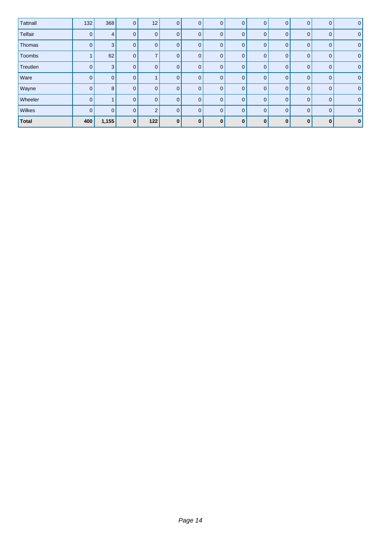| Tattnall     | 132          | 368            | $\overline{0}$ | 12 <sub>2</sub> | $\mathbf{0}$   | $\mathbf{0}$ | $\mathbf{0}$ | $\mathbf{0}$ | $\mathbf{0}$ | $\mathbf{0}$   | 0            | $\mathbf{0}$   | 0 |
|--------------|--------------|----------------|----------------|-----------------|----------------|--------------|--------------|--------------|--------------|----------------|--------------|----------------|---|
| Telfair      | 0            | $\overline{4}$ | $\overline{0}$ | 0               | $\overline{0}$ | $\Omega$     | $\mathbf 0$  | $\Omega$     | $\mathbf{0}$ | $\mathbf{0}$   | 0            | $\mathbf{0}$   | 0 |
| Thomas       | $\mathbf 0$  | 3              | $\Omega$       | 0               | $\mathbf{0}$   | $\Omega$     | $\mathbf 0$  | $\Omega$     | $\mathbf{0}$ | $\mathbf 0$    | 0            | $\mathbf{0}$   | 0 |
| Toombs       |              | 62             | $\Omega$       | $\overline{7}$  | $\mathbf{0}$   | $\Omega$     | $\mathbf 0$  | $\Omega$     | $\mathbf{0}$ | $\mathbf 0$    | $\Omega$     | $\overline{0}$ | 0 |
| Treutlen     | 0            | 3              | $\Omega$       | 0               | $\overline{0}$ | $\Omega$     | $\mathbf 0$  | $\Omega$     | $\mathbf{0}$ | $\overline{0}$ | $\Omega$     | $\mathbf{0}$   | 0 |
| Ware         | $\mathbf{0}$ | $\mathbf 0$    | $\Omega$       |                 | $\overline{0}$ | $\mathbf{0}$ | $\mathbf 0$  | $\Omega$     | $\mathbf{0}$ | $\overline{0}$ | $\Omega$     | $\mathbf{0}$   | 0 |
| Wayne        | $\mathbf{0}$ | 8              | $\Omega$       | 0               | $\overline{0}$ | $\Omega$     | $\mathbf 0$  | $\Omega$     | $\mathbf{0}$ | $\overline{0}$ | $\Omega$     | $\mathbf{0}$   | 0 |
| Wheeler      | $\mathbf{0}$ |                | $\overline{0}$ | 0               | $\overline{0}$ | $\Omega$     | $\mathbf{0}$ | $\Omega$     | $\mathbf{0}$ | $\overline{0}$ | $\Omega$     | $\mathbf{0}$   | 0 |
| Wilkes       | $\mathbf{0}$ | $\overline{0}$ | $\Omega$       | $\overline{2}$  | $\overline{0}$ | $\Omega$     | $\mathbf{0}$ | $\Omega$     | $\mathbf{0}$ | $\overline{0}$ | $\Omega$     | $\mathbf{0}$   | 0 |
| <b>Total</b> | 400          | 1,155          | <sup>0</sup>   | 122             | $\bf{0}$       | $\mathbf{0}$ | $\bf{0}$     | $\Omega$     | $\bf{0}$     | $\mathbf{0}$   | $\mathbf{0}$ | $\bf{0}$       | 0 |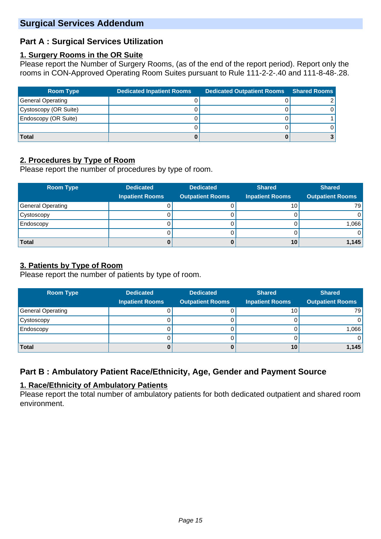## **Part A : Surgical Services Utilization**

#### **1. Surgery Rooms in the OR Suite**

Please report the Number of Surgery Rooms, (as of the end of the report period). Report only the rooms in CON-Approved Operating Room Suites pursuant to Rule 111-2-2-.40 and 111-8-48-.28.

| <b>Room Type</b>      | <b>Dedicated Inpatient Rooms</b> | <b>Dedicated Outpatient Rooms</b> | <b>Shared Rooms</b> |
|-----------------------|----------------------------------|-----------------------------------|---------------------|
| General Operating     |                                  |                                   |                     |
| Cystoscopy (OR Suite) |                                  |                                   |                     |
| Endoscopy (OR Suite)  |                                  |                                   |                     |
|                       |                                  |                                   |                     |
| <b>Total</b>          |                                  |                                   |                     |

## **2. Procedures by Type of Room**

Please report the number of procedures by type of room.

| <b>Room Type</b>  | <b>Dedicated</b>       | <b>Dedicated</b>        | <b>Shared</b>          | <b>Shared</b>           |
|-------------------|------------------------|-------------------------|------------------------|-------------------------|
|                   | <b>Inpatient Rooms</b> | <b>Outpatient Rooms</b> | <b>Inpatient Rooms</b> | <b>Outpatient Rooms</b> |
| General Operating |                        |                         | 10                     | 79                      |
| Cystoscopy        |                        |                         |                        | $\overline{0}$          |
| Endoscopy         |                        |                         |                        | 1,066                   |
|                   |                        |                         |                        | $\overline{0}$          |
| <b>Total</b>      |                        |                         | 10                     | 1,145                   |

## **3. Patients by Type of Room**

Please report the number of patients by type of room.

| <b>Room Type</b>         | <b>Dedicated</b>       | <b>Dedicated</b>        | <b>Shared</b>          | <b>Shared</b>           |
|--------------------------|------------------------|-------------------------|------------------------|-------------------------|
|                          | <b>Inpatient Rooms</b> | <b>Outpatient Rooms</b> | <b>Inpatient Rooms</b> | <b>Outpatient Rooms</b> |
| <b>General Operating</b> |                        |                         | 10 <sup>1</sup>        | 79 I                    |
| Cystoscopy               |                        |                         |                        |                         |
| Endoscopy                |                        |                         |                        | 1,066                   |
|                          |                        |                         |                        |                         |
| <b>Total</b>             |                        |                         | 10                     | 1,145                   |

# **Part B : Ambulatory Patient Race/Ethnicity, Age, Gender and Payment Source**

## **1. Race/Ethnicity of Ambulatory Patients**

Please report the total number of ambulatory patients for both dedicated outpatient and shared room environment.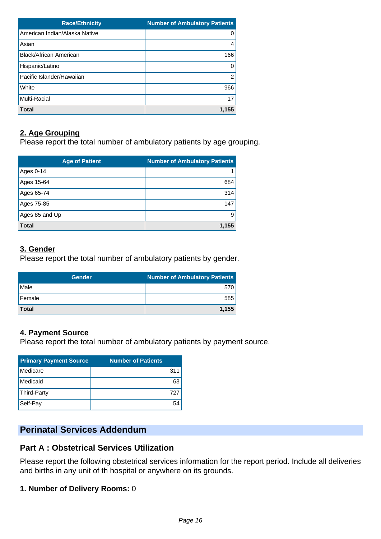| <b>Race/Ethnicity</b>         | <b>Number of Ambulatory Patients</b> |
|-------------------------------|--------------------------------------|
| American Indian/Alaska Native | 0                                    |
| Asian                         | 4                                    |
| Black/African American        | 166                                  |
| Hispanic/Latino               |                                      |
| Pacific Islander/Hawaiian     | 2                                    |
| White                         | 966                                  |
| <b>Multi-Racial</b>           | 17                                   |
| <b>Total</b>                  | 1.155                                |

## **2. Age Grouping**

Please report the total number of ambulatory patients by age grouping.

| <b>Age of Patient</b> | <b>Number of Ambulatory Patients</b> |
|-----------------------|--------------------------------------|
| Ages 0-14             |                                      |
| Ages 15-64            | 684                                  |
| Ages 65-74            | 314                                  |
| Ages 75-85            | 147                                  |
| Ages 85 and Up        | 9                                    |
| <b>Total</b>          | 1,155                                |

## **3. Gender**

Please report the total number of ambulatory patients by gender.

| <b>Gender</b> | <b>Number of Ambulatory Patients</b> |
|---------------|--------------------------------------|
| <b>Male</b>   | 570                                  |
| Female        | 585                                  |
| Total         | 1.155                                |

## **4. Payment Source**

Please report the total number of ambulatory patients by payment source.

| <b>Primary Payment Source</b> | <b>Number of Patients</b> |
|-------------------------------|---------------------------|
| Medicare                      | 311                       |
| Medicaid                      | 63                        |
| Third-Party                   | 727                       |
| Self-Pay                      |                           |

# **Perinatal Services Addendum**

## **Part A : Obstetrical Services Utilization**

Please report the following obstetrical services information for the report period. Include all deliveries and births in any unit of th hospital or anywhere on its grounds.

## **1. Number of Delivery Rooms:** 0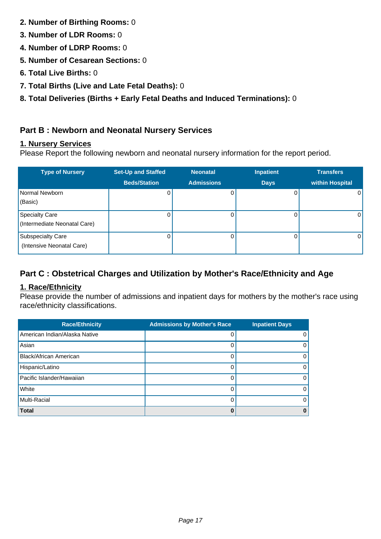- **2. Number of Birthing Rooms:** 0
- **3. Number of LDR Rooms:** 0
- **4. Number of LDRP Rooms:** 0
- **5. Number of Cesarean Sections:** 0
- **6. Total Live Births:** 0
- **7. Total Births (Live and Late Fetal Deaths):** 0
- **8. Total Deliveries (Births + Early Fetal Deaths and Induced Terminations):** 0

## **Part B : Newborn and Neonatal Nursery Services**

## **1. Nursery Services**

Please Report the following newborn and neonatal nursery information for the report period.

| <b>Type of Nursery</b>                                | <b>Set-Up and Staffed</b> | <b>Neonatal</b>   | <b>Inpatient</b> | <b>Transfers</b> |
|-------------------------------------------------------|---------------------------|-------------------|------------------|------------------|
|                                                       | <b>Beds/Station</b>       | <b>Admissions</b> | <b>Days</b>      | within Hospital  |
| Normal Newborn<br>(Basic)                             | 0                         | 0                 | 0                | 0                |
| <b>Specialty Care</b><br>(Intermediate Neonatal Care) | 0                         | U                 |                  | $\Omega$         |
| <b>Subspecialty Care</b><br>(Intensive Neonatal Care) |                           |                   |                  | $\Omega$         |

## **Part C : Obstetrical Charges and Utilization by Mother's Race/Ethnicity and Age**

## **1. Race/Ethnicity**

Please provide the number of admissions and inpatient days for mothers by the mother's race using race/ethnicity classifications.

| <b>Race/Ethnicity</b>         | <b>Admissions by Mother's Race</b> | <b>Inpatient Days</b> |
|-------------------------------|------------------------------------|-----------------------|
| American Indian/Alaska Native |                                    | 0                     |
| Asian                         |                                    | $\Omega$              |
| Black/African American        |                                    | $\Omega$              |
| Hispanic/Latino               |                                    | $\Omega$              |
| Pacific Islander/Hawaiian     |                                    | $\Omega$              |
| White                         |                                    | $\Omega$              |
| Multi-Racial                  |                                    | $\Omega$              |
| <b>Total</b>                  |                                    | 0                     |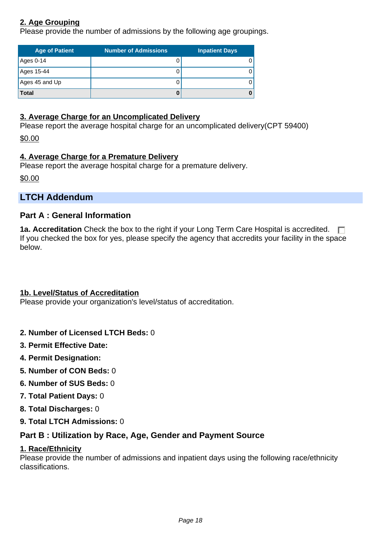## **2. Age Grouping**

Please provide the number of admissions by the following age groupings.

| <b>Age of Patient</b> | <b>Number of Admissions</b> | <b>Inpatient Days</b> |
|-----------------------|-----------------------------|-----------------------|
| Ages 0-14             |                             |                       |
| Ages 15-44            |                             |                       |
| Ages 45 and Up        |                             |                       |
| <b>Total</b>          |                             |                       |

#### **3. Average Charge for an Uncomplicated Delivery**

Please report the average hospital charge for an uncomplicated delivery(CPT 59400)

\$0.00

## **4. Average Charge for a Premature Delivery**

Please report the average hospital charge for a premature delivery.

\$0.00

## **LTCH Addendum**

## **Part A : General Information**

**1a. Accreditation** Check the box to the right if your Long Term Care Hospital is accredited.  $\Box$ If you checked the box for yes, please specify the agency that accredits your facility in the space below.

## **1b. Level/Status of Accreditation**

Please provide your organization's level/status of accreditation.

- **2. Number of Licensed LTCH Beds:** 0
- **3. Permit Effective Date:**
- **4. Permit Designation:**
- **5. Number of CON Beds:** 0
- **6. Number of SUS Beds:** 0
- **7. Total Patient Days:** 0
- **8. Total Discharges:** 0
- **9. Total LTCH Admissions:** 0

## **Part B : Utilization by Race, Age, Gender and Payment Source**

#### **1. Race/Ethnicity**

Please provide the number of admissions and inpatient days using the following race/ethnicity classifications.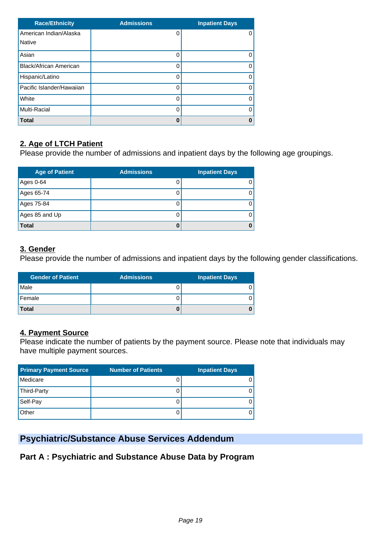| <b>Race/Ethnicity</b>         | <b>Admissions</b> | <b>Inpatient Days</b> |
|-------------------------------|-------------------|-----------------------|
| American Indian/Alaska        | 0                 | O                     |
| <b>Native</b>                 |                   |                       |
| Asian                         | 0                 |                       |
| <b>Black/African American</b> | 0                 | 0                     |
| Hispanic/Latino               | 0                 |                       |
| Pacific Islander/Hawaiian     | $\Omega$          |                       |
| White                         | $\Omega$          | ი                     |
| <b>Multi-Racial</b>           | 0                 |                       |
| <b>Total</b>                  | 0                 | Ω                     |

## **2. Age of LTCH Patient**

Please provide the number of admissions and inpatient days by the following age groupings.

| <b>Age of Patient</b> | <b>Admissions</b> | <b>Inpatient Days</b> |
|-----------------------|-------------------|-----------------------|
| Ages 0-64             | 0                 |                       |
| Ages 65-74            | 0                 |                       |
| Ages 75-84            | O                 |                       |
| Ages 85 and Up        | 0                 |                       |
| <b>Total</b>          |                   |                       |

#### **3. Gender**

Please provide the number of admissions and inpatient days by the following gender classifications.

| <b>Gender of Patient</b> | <b>Admissions</b> | <b>Inpatient Days</b> |
|--------------------------|-------------------|-----------------------|
| Male                     |                   |                       |
| Female                   |                   |                       |
| <b>Total</b>             |                   |                       |

## **4. Payment Source**

Please indicate the number of patients by the payment source. Please note that individuals may have multiple payment sources.

| <b>Primary Payment Source</b> | <b>Number of Patients</b> | <b>Inpatient Days</b> |
|-------------------------------|---------------------------|-----------------------|
| Medicare                      |                           |                       |
| Third-Party                   |                           |                       |
| Self-Pay                      |                           |                       |
| Other                         | U                         |                       |

# **Psychiatric/Substance Abuse Services Addendum**

## **Part A : Psychiatric and Substance Abuse Data by Program**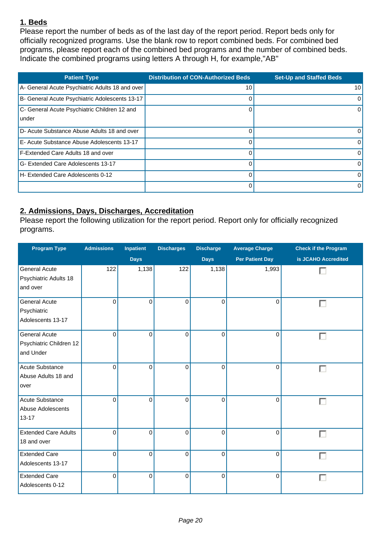## **1. Beds**

Please report the number of beds as of the last day of the report period. Report beds only for officially recognized programs. Use the blank row to report combined beds. For combined bed programs, please report each of the combined bed programs and the number of combined beds. Indicate the combined programs using letters A through H, for example,"AB"

| <b>Patient Type</b>                                    | <b>Distribution of CON-Authorized Beds</b> | <b>Set-Up and Staffed Beds</b> |
|--------------------------------------------------------|--------------------------------------------|--------------------------------|
| A- General Acute Psychiatric Adults 18 and over        | 10                                         | 10 <sub>1</sub>                |
| B- General Acute Psychiatric Adolescents 13-17         | $\Omega$                                   | $\Omega$                       |
| C- General Acute Psychiatric Children 12 and<br>lunder | $\Omega$                                   | $\Omega$                       |
| D- Acute Substance Abuse Adults 18 and over            | 0                                          | $\Omega$                       |
| E- Acute Substance Abuse Adolescents 13-17             | $\Omega$                                   | $\Omega$                       |
| <b>F-Extended Care Adults 18 and over</b>              | $\Omega$                                   | $\Omega$                       |
| G- Extended Care Adolescents 13-17                     | $\Omega$                                   | $\Omega$                       |
| H- Extended Care Adolescents 0-12                      | $\Omega$                                   | $\Omega$                       |
|                                                        | $\Omega$                                   | $\Omega$                       |

## **2. Admissions, Days, Discharges, Accreditation**

Please report the following utilization for the report period. Report only for officially recognized programs.

| <b>Program Type</b>                                          | <b>Admissions</b> | Inpatient   | <b>Discharges</b> | <b>Discharge</b> | <b>Average Charge</b>  | <b>Check if the Program</b> |
|--------------------------------------------------------------|-------------------|-------------|-------------------|------------------|------------------------|-----------------------------|
|                                                              |                   | <b>Days</b> |                   | <b>Days</b>      | <b>Per Patient Day</b> | is JCAHO Accredited         |
| <b>General Acute</b><br>Psychiatric Adults 18<br>and over    | 122               | 1,138       | 122               | 1,138            | 1,993                  |                             |
| <b>General Acute</b><br>Psychiatric<br>Adolescents 13-17     | $\mathbf 0$       | $\mathbf 0$ | 0                 | $\mathbf 0$      | 0                      | г                           |
| <b>General Acute</b><br>Psychiatric Children 12<br>and Under | $\mathbf 0$       | $\Omega$    | 0                 | $\mathbf 0$      | $\Omega$               |                             |
| Acute Substance<br>Abuse Adults 18 and<br>over               | 0                 | $\Omega$    | 0                 | 0                | $\overline{0}$         |                             |
| Acute Substance<br>Abuse Adolescents<br>$13 - 17$            | 0                 | $\Omega$    | $\overline{0}$    | $\Omega$         | $\Omega$               |                             |
| <b>Extended Care Adults</b><br>18 and over                   | 0                 | $\mathbf 0$ | 0                 | $\mathbf 0$      | 0                      |                             |
| <b>Extended Care</b><br>Adolescents 13-17                    | 0                 | $\mathbf 0$ | 0                 | $\mathbf 0$      | $\mathbf 0$            |                             |
| <b>Extended Care</b><br>Adolescents 0-12                     | 0                 | 0           | 0                 | $\pmb{0}$        | 0                      |                             |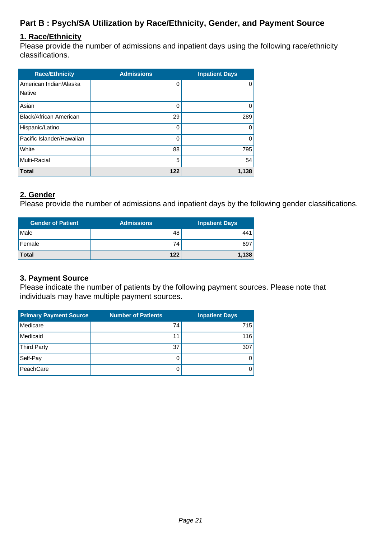## **Part B : Psych/SA Utilization by Race/Ethnicity, Gender, and Payment Source**

#### **1. Race/Ethnicity**

Please provide the number of admissions and inpatient days using the following race/ethnicity classifications.

| <b>Race/Ethnicity</b>         | <b>Admissions</b> | <b>Inpatient Days</b> |
|-------------------------------|-------------------|-----------------------|
| American Indian/Alaska        | 0                 | 0                     |
| <b>Native</b>                 |                   |                       |
| Asian                         | 0                 | 0                     |
| <b>Black/African American</b> | 29                | 289                   |
| Hispanic/Latino               | 0                 | O                     |
| Pacific Islander/Hawaiian     | Ω                 | 0                     |
| White                         | 88                | 795                   |
| <b>Multi-Racial</b>           | 5                 | 54                    |
| <b>Total</b>                  | 122               | 1,138                 |

#### **2. Gender**

Please provide the number of admissions and inpatient days by the following gender classifications.

| <b>Gender of Patient</b> | <b>Admissions</b> | <b>Inpatient Days</b> |
|--------------------------|-------------------|-----------------------|
| Male                     | 48'               | 441                   |
| Female                   | 74                | 697                   |
| <b>Total</b>             | 122               | 1,138                 |

#### **3. Payment Source**

Please indicate the number of patients by the following payment sources. Please note that individuals may have multiple payment sources.

| <b>Primary Payment Source</b> | <b>Number of Patients</b> | <b>Inpatient Days</b> |
|-------------------------------|---------------------------|-----------------------|
| Medicare                      | 74                        | 715                   |
| Medicaid                      | 11                        | 116                   |
| <b>Third Party</b>            | 37                        | 307                   |
| Self-Pay                      |                           |                       |
| PeachCare                     |                           |                       |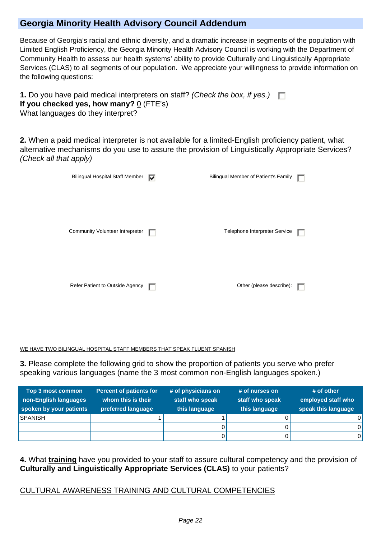## **Georgia Minority Health Advisory Council Addendum**

Because of Georgia's racial and ethnic diversity, and a dramatic increase in segments of the population with Limited English Proficiency, the Georgia Minority Health Advisory Council is working with the Department of Community Health to assess our health systems' ability to provide Culturally and Linguistically Appropriate Services (CLAS) to all segments of our population. We appreciate your willingness to provide information on the following questions:

| <b>1.</b> Do you have paid medical interpreters on staff? (Check the box, if yes.) $\Box$ |  |
|-------------------------------------------------------------------------------------------|--|
| If you checked yes, how many? $0$ (FTE's)                                                 |  |
| What languages do they interpret?                                                         |  |

**2.** When a paid medical interpreter is not available for a limited-English proficiency patient, what alternative mechanisms do you use to assure the provision of Linguistically Appropriate Services? (Check all that apply)

| <b>Bilingual Hospital Staff Member</b> | ⊽ | Bilingual Member of Patient's Family |  |
|----------------------------------------|---|--------------------------------------|--|
|                                        |   |                                      |  |
|                                        |   |                                      |  |
| Community Volunteer Intrepreter        |   | Telephone Interpreter Service        |  |
|                                        |   |                                      |  |
|                                        |   |                                      |  |
|                                        |   |                                      |  |
| Refer Patient to Outside Agency        |   | Other (please describe):             |  |
|                                        |   |                                      |  |

WE HAVE TWO BILINGUAL HOSPITAL STAFF MEMBERS THAT SPEAK FLUENT SPANISH

**3.** Please complete the following grid to show the proportion of patients you serve who prefer speaking various languages (name the 3 most common non-English languages spoken.)

| <b>Top 3 most common</b><br>non-English languages<br>spoken by your patients | <b>Percent of patients for</b><br>whom this is their<br>preferred language | # of physicians on<br>staff who speak<br>this language | # of nurses on<br>staff who speak<br>this language | $#$ of other<br>employed staff who<br>speak this language |
|------------------------------------------------------------------------------|----------------------------------------------------------------------------|--------------------------------------------------------|----------------------------------------------------|-----------------------------------------------------------|
| <b>SPANISH</b>                                                               |                                                                            |                                                        |                                                    |                                                           |
|                                                                              |                                                                            |                                                        |                                                    |                                                           |
|                                                                              |                                                                            |                                                        |                                                    |                                                           |

**4.** What **training** have you provided to your staff to assure cultural competency and the provision of **Culturally and Linguistically Appropriate Services (CLAS)** to your patients?

## CULTURAL AWARENESS TRAINING AND CULTURAL COMPETENCIES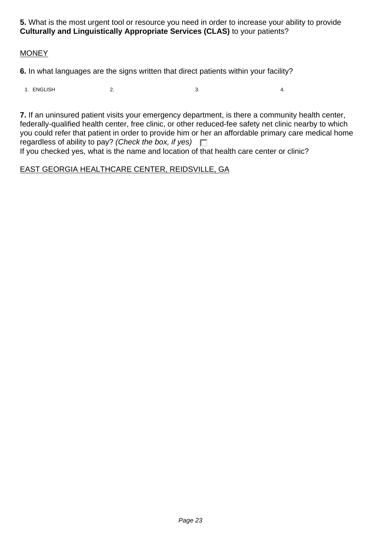**5.** What is the most urgent tool or resource you need in order to increase your ability to provide **Culturally and Linguistically Appropriate Services (CLAS)** to your patients?

#### **MONEY**

**6.** In what languages are the signs written that direct patients within your facility?

1. ENGLISH 2. 2. 3. 3. 4.

**7.** If an uninsured patient visits your emergency department, is there a community health center, federally-qualified health center, free clinic, or other reduced-fee safety net clinic nearby to which you could refer that patient in order to provide him or her an affordable primary care medical home regardless of ability to pay? (Check the box, if yes)  $\square$ If you checked yes, what is the name and location of that health care center or clinic?

#### EAST GEORGIA HEALTHCARE CENTER, REIDSVILLE, GA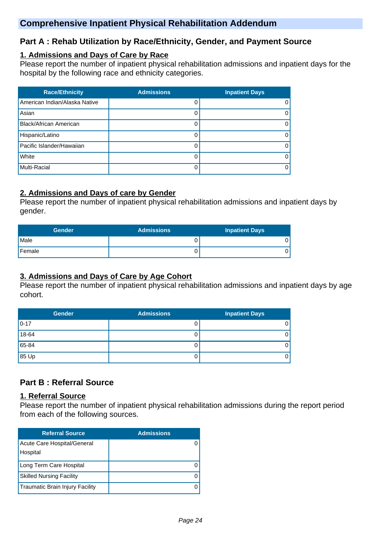## **Comprehensive Inpatient Physical Rehabilitation Addendum**

## **Part A : Rehab Utilization by Race/Ethnicity, Gender, and Payment Source**

#### **1. Admissions and Days of Care by Race**

Please report the number of inpatient physical rehabilitation admissions and inpatient days for the hospital by the following race and ethnicity categories.

| <b>Race/Ethnicity</b>         | <b>Admissions</b> | <b>Inpatient Days</b> |
|-------------------------------|-------------------|-----------------------|
| American Indian/Alaska Native |                   | $\Omega$              |
| Asian                         |                   | 0                     |
| <b>Black/African American</b> |                   | $\Omega$              |
| Hispanic/Latino               |                   | $\Omega$              |
| Pacific Islander/Hawaiian     |                   | 0                     |
| White                         |                   | 0                     |
| Multi-Racial                  |                   | 0                     |

## **2. Admissions and Days of care by Gender**

Please report the number of inpatient physical rehabilitation admissions and inpatient days by gender.

| <b>Gender</b> | <b>Admissions</b> | <b>Inpatient Days</b> |
|---------------|-------------------|-----------------------|
| l Male        |                   |                       |
| l Female      |                   |                       |

## **3. Admissions and Days of Care by Age Cohort**

Please report the number of inpatient physical rehabilitation admissions and inpatient days by age cohort.

| <b>Gender</b> | <b>Admissions</b> | <b>Inpatient Days</b> |
|---------------|-------------------|-----------------------|
| $0 - 17$      |                   | 0                     |
| 18-64         |                   | 0                     |
| 65-84         |                   | 0                     |
| 85 Up         |                   | 0                     |

## **Part B : Referral Source**

#### **1. Referral Source**

Please report the number of inpatient physical rehabilitation admissions during the report period from each of the following sources.

| <b>Referral Source</b>          | <b>Admissions</b> |
|---------------------------------|-------------------|
| Acute Care Hospital/General     |                   |
| Hospital                        |                   |
| Long Term Care Hospital         |                   |
| <b>Skilled Nursing Facility</b> |                   |
| Traumatic Brain Injury Facility |                   |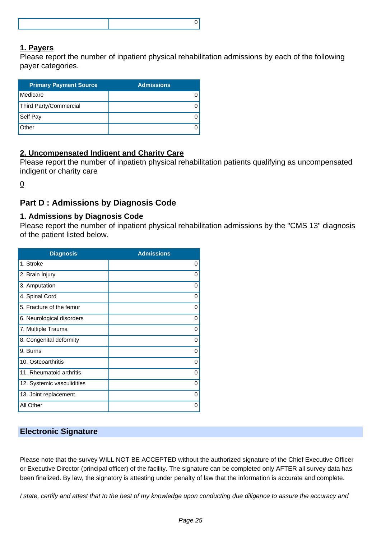#### **1. Payers**

Please report the number of inpatient physical rehabilitation admissions by each of the following payer categories.

| <b>Primary Payment Source</b> | <b>Admissions</b> |
|-------------------------------|-------------------|
| Medicare                      |                   |
| Third Party/Commercial        |                   |
| Self Pay                      |                   |
| Other                         |                   |

## **2. Uncompensated Indigent and Charity Care**

Please report the number of inpatietn physical rehabilitation patients qualifying as uncompensated indigent or charity care

0

## **Part D : Admissions by Diagnosis Code**

#### **1. Admissions by Diagnosis Code**

Please report the number of inpatient physical rehabilitation admissions by the "CMS 13" diagnosis of the patient listed below.

| <b>Diagnosis</b>           | <b>Admissions</b> |
|----------------------------|-------------------|
| 1. Stroke                  | 0                 |
| 2. Brain Injury            | 0                 |
| 3. Amputation              | 0                 |
| 4. Spinal Cord             | 0                 |
| 5. Fracture of the femur   | 0                 |
| 6. Neurological disorders  | 0                 |
| 7. Multiple Trauma         | 0                 |
| 8. Congenital deformity    | 0                 |
| 9. Burns                   | 0                 |
| 10. Osteoarthritis         | $\Omega$          |
| 11. Rheumatoid arthritis   | 0                 |
| 12. Systemic vasculidities | $\Omega$          |
| 13. Joint replacement      | 0                 |
| All Other                  | 0                 |

#### **Electronic Signature**

Please note that the survey WILL NOT BE ACCEPTED without the authorized signature of the Chief Executive Officer or Executive Director (principal officer) of the facility. The signature can be completed only AFTER all survey data has been finalized. By law, the signatory is attesting under penalty of law that the information is accurate and complete.

I state, certify and attest that to the best of my knowledge upon conducting due diligence to assure the accuracy and